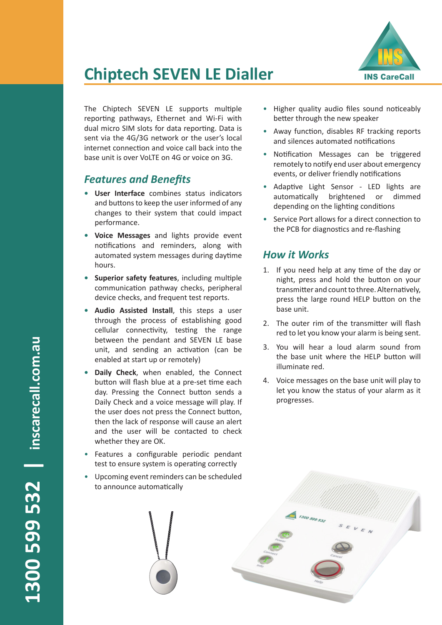

## **Chiptech SEVEN LE Dialler**

The Chiptech SEVEN LE supports multiple reporting pathways, Ethernet and Wi-Fi with dual micro SIM slots for data reporting. Data is sent via the 4G/3G network or the user's local internet connection and voice call back into the base unit is over VoLTE on 4G or voice on 3G.

#### *Features and Benefits*

- **• User Interface** combines status indicators and buttons to keep the user informed of any changes to their system that could impact performance.
- **• Voice Messages** and lights provide event notifications and reminders, along with automated system messages during daytime hours.
- **• Superior safety features**, including multiple communication pathway checks, peripheral device checks, and frequent test reports.
- **• Audio Assisted Install**, this steps a user through the process of establishing good cellular connectivity, testing the range between the pendant and SEVEN LE base unit, and sending an activation (can be enabled at start up or remotely)
- **• Daily Check**, when enabled, the Connect button will flash blue at a pre-set time each day. Pressing the Connect button sends a Daily Check and a voice message will play. If the user does not press the Connect button, then the lack of response will cause an alert and the user will be contacted to check whether they are OK.
- Features a configurable periodic pendant test to ensure system is operating correctly
- Upcoming event reminders can be scheduled to announce automatically
- Higher quality audio files sound noticeably better through the new speaker
- Away function, disables RF tracking reports and silences automated notifications
- Notification Messages can be triggered remotely to notify end user about emergency events, or deliver friendly notifications
- Adaptive Light Sensor LED lights are automatically brightened or dimmed depending on the lighting conditions
- Service Port allows for a direct connection to the PCB for diagnostics and re-flashing

#### *How it Works*

- 1. If you need help at any time of the day or night, press and hold the button on your transmitter and count to three. Alternatively, press the large round HELP button on the base unit.
- 2. The outer rim of the transmitter will flash red to let you know your alarm is being sent.
- 3. You will hear a loud alarm sound from the base unit where the HELP button will illuminate red.
- 4. Voice messages on the base unit will play to let you know the status of your alarm as it progresses.